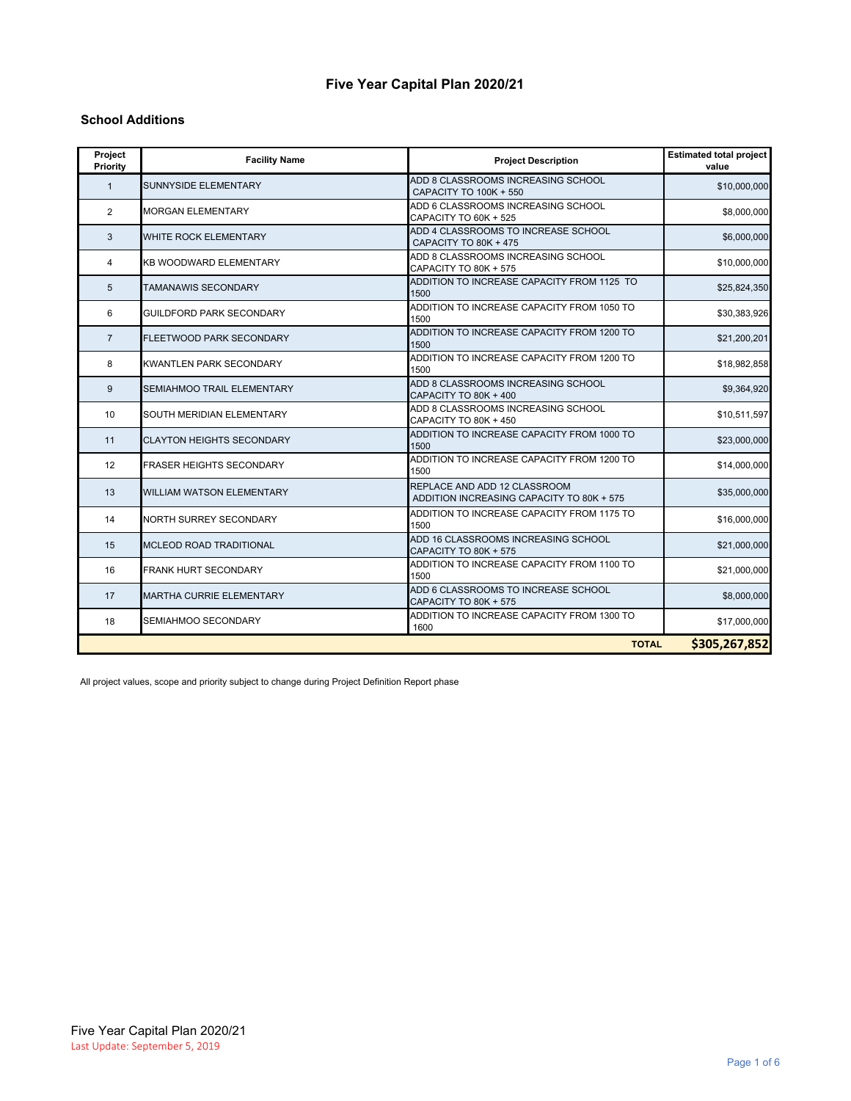### **Five Year Capital Plan 2020/21**

#### **School Additions**

| Project<br>Priority | <b>Facility Name</b>             | <b>Project Description</b>                                                | <b>Estimated total project</b><br>value |
|---------------------|----------------------------------|---------------------------------------------------------------------------|-----------------------------------------|
| $\mathbf{1}$        | <b>SUNNYSIDE ELEMENTARY</b>      | ADD 8 CLASSROOMS INCREASING SCHOOL<br>CAPACITY TO 100K + 550              | \$10,000,000                            |
| 2                   | <b>MORGAN ELEMENTARY</b>         | ADD 6 CLASSROOMS INCREASING SCHOOL<br>CAPACITY TO 60K + 525               | \$8,000,000                             |
| 3                   | WHITE ROCK ELEMENTARY            | ADD 4 CLASSROOMS TO INCREASE SCHOOL<br>CAPACITY TO 80K + 475              | \$6,000,000                             |
| $\overline{4}$      | <b>KB WOODWARD ELEMENTARY</b>    | ADD 8 CLASSROOMS INCREASING SCHOOL<br>CAPACITY TO 80K + 575               | \$10,000,000                            |
| 5                   | <b>TAMANAWIS SECONDARY</b>       | ADDITION TO INCREASE CAPACITY FROM 1125 TO<br>1500                        | \$25,824,350                            |
| 6                   | <b>GUILDFORD PARK SECONDARY</b>  | ADDITION TO INCREASE CAPACITY FROM 1050 TO<br>1500                        | \$30,383,926                            |
| $\overline{7}$      | <b>FLEETWOOD PARK SECONDARY</b>  | ADDITION TO INCREASE CAPACITY FROM 1200 TO<br>1500                        | \$21,200,201                            |
| 8                   | <b>KWANTLEN PARK SECONDARY</b>   | ADDITION TO INCREASE CAPACITY FROM 1200 TO<br>1500                        | \$18,982,858                            |
| 9                   | SEMIAHMOO TRAIL ELEMENTARY       | ADD 8 CLASSROOMS INCREASING SCHOOL<br>CAPACITY TO 80K + 400               | \$9,364,920                             |
| 10                  | SOUTH MERIDIAN ELEMENTARY        | ADD 8 CLASSROOMS INCREASING SCHOOL<br>CAPACITY TO 80K + 450               | \$10,511,597                            |
| 11                  | <b>CLAYTON HEIGHTS SECONDARY</b> | ADDITION TO INCREASE CAPACITY FROM 1000 TO<br>1500                        | \$23,000,000                            |
| 12                  | <b>FRASER HEIGHTS SECONDARY</b>  | ADDITION TO INCREASE CAPACITY FROM 1200 TO<br>1500                        | \$14,000,000                            |
| 13                  | <b>WILLIAM WATSON ELEMENTARY</b> | REPLACE AND ADD 12 CLASSROOM<br>ADDITION INCREASING CAPACITY TO 80K + 575 | \$35,000,000                            |
| 14                  | NORTH SURREY SECONDARY           | ADDITION TO INCREASE CAPACITY FROM 1175 TO<br>1500                        | \$16,000,000                            |
| 15                  | MCLEOD ROAD TRADITIONAL          | ADD 16 CLASSROOMS INCREASING SCHOOL<br>CAPACITY TO 80K + 575              | \$21,000,000                            |
| 16                  | <b>FRANK HURT SECONDARY</b>      | ADDITION TO INCREASE CAPACITY FROM 1100 TO<br>1500                        | \$21,000,000                            |
| 17                  | MARTHA CURRIE ELEMENTARY         | ADD 6 CLASSROOMS TO INCREASE SCHOOL<br>CAPACITY TO 80K + 575              | \$8,000,000                             |
| 18                  | SEMIAHMOO SECONDARY              | ADDITION TO INCREASE CAPACITY FROM 1300 TO<br>1600                        | \$17,000,000                            |
|                     |                                  | <b>TOTAL</b>                                                              | \$305,267,852                           |

All project values, scope and priority subject to change during Project Definition Report phase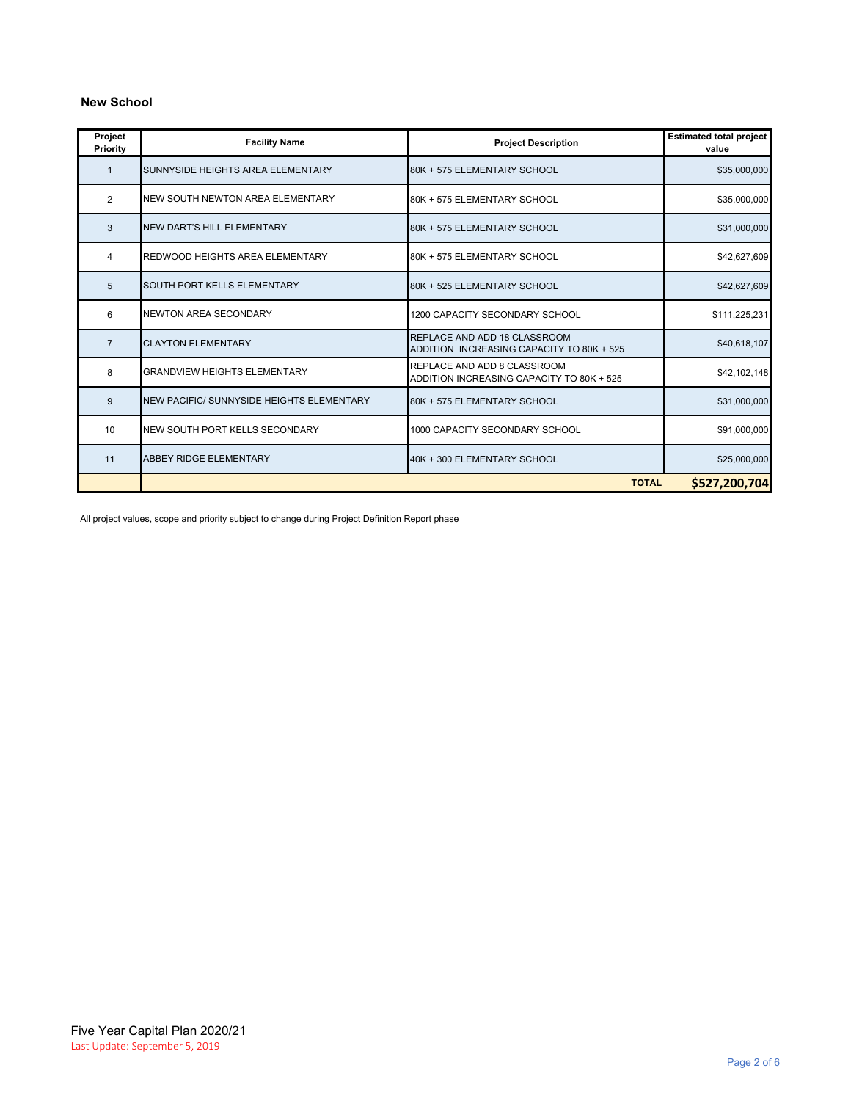### **New School**

| Project<br>Priority | <b>Facility Name</b>                      | <b>Project Description</b>                                                | <b>Estimated total project</b><br>value |
|---------------------|-------------------------------------------|---------------------------------------------------------------------------|-----------------------------------------|
| $\mathbf{1}$        | SUNNYSIDE HEIGHTS AREA ELEMENTARY         | 80K + 575 ELEMENTARY SCHOOL                                               | \$35,000,000                            |
| 2                   | NEW SOUTH NEWTON AREA ELEMENTARY          | 80K + 575 ELEMENTARY SCHOOL                                               | \$35,000,000                            |
| 3                   | NEW DART'S HILL ELEMENTARY                | 80K + 575 ELEMENTARY SCHOOL                                               | \$31,000,000                            |
| 4                   | <b>REDWOOD HEIGHTS AREA ELEMENTARY</b>    | 80K + 575 ELEMENTARY SCHOOL                                               | \$42,627,609                            |
| 5                   | <b>SOUTH PORT KELLS ELEMENTARY</b>        | 80K + 525 ELEMENTARY SCHOOL                                               | \$42,627,609                            |
| 6                   | NEWTON AREA SECONDARY                     | 1200 CAPACITY SECONDARY SCHOOL                                            | \$111,225,231                           |
| $\overline{7}$      | <b>CLAYTON ELEMENTARY</b>                 | REPLACE AND ADD 18 CLASSROOM<br>ADDITION INCREASING CAPACITY TO 80K + 525 | \$40,618,107                            |
| 8                   | <b>GRANDVIEW HEIGHTS ELEMENTARY</b>       | REPLACE AND ADD 8 CLASSROOM<br>ADDITION INCREASING CAPACITY TO 80K + 525  | \$42,102,148                            |
| 9                   | NEW PACIFIC/ SUNNYSIDE HEIGHTS ELEMENTARY | 80K + 575 ELEMENTARY SCHOOL                                               | \$31,000,000                            |
| 10                  | NEW SOUTH PORT KELLS SECONDARY            | 1000 CAPACITY SECONDARY SCHOOL                                            | \$91,000,000                            |
| 11                  | <b>ABBEY RIDGE ELEMENTARY</b>             | 40K + 300 ELEMENTARY SCHOOL                                               | \$25,000,000                            |
|                     | <b>TOTAL</b><br>\$527,200,704             |                                                                           |                                         |

All project values, scope and priority subject to change during Project Definition Report phase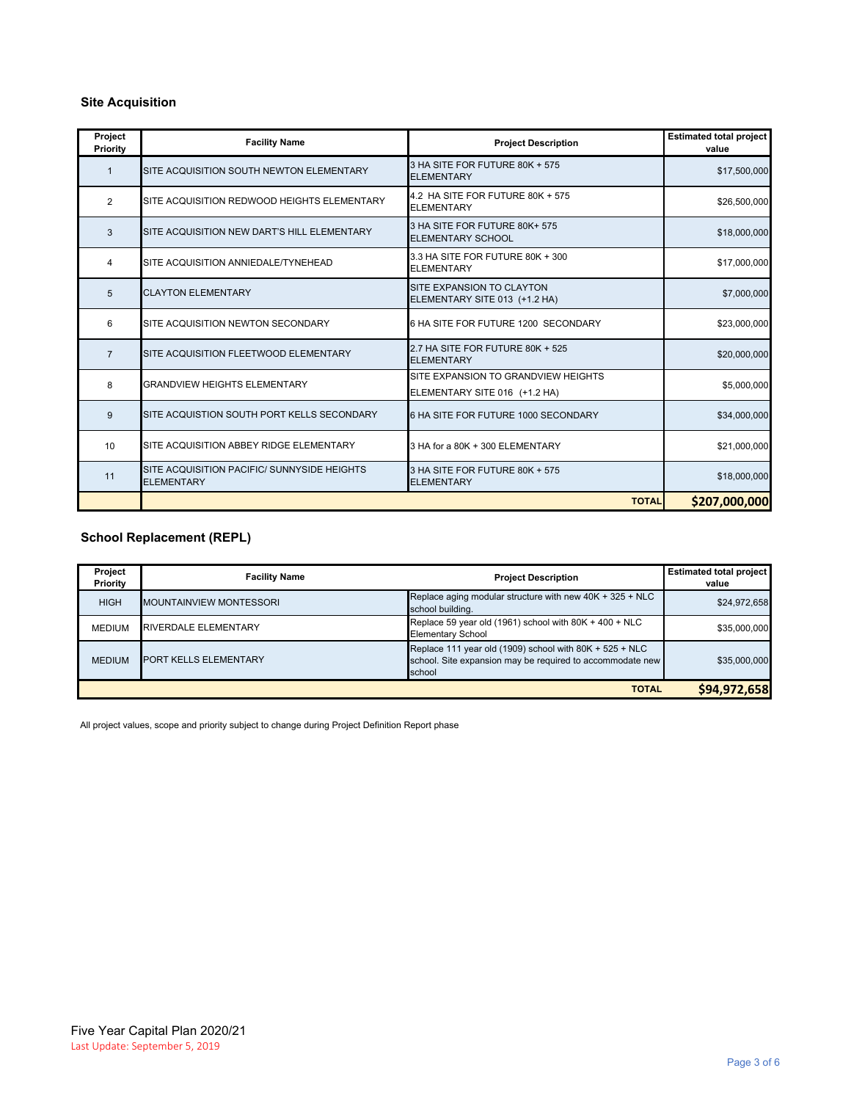#### **Site Acquisition**

| Project<br>Priority | <b>Facility Name</b>                                             | <b>Project Description</b>                                           | <b>Estimated total project</b><br>value |
|---------------------|------------------------------------------------------------------|----------------------------------------------------------------------|-----------------------------------------|
| $\mathbf{1}$        | SITE ACQUISITION SOUTH NEWTON ELEMENTARY                         | 3 HA SITE FOR FUTURE 80K + 575<br><b>ELEMENTARY</b>                  | \$17,500,000                            |
| 2                   | SITE ACQUISITION REDWOOD HEIGHTS ELEMENTARY                      | 4.2 HA SITE FOR FUTURE 80K + 575<br><b>ELEMENTARY</b>                | \$26,500,000                            |
| 3                   | SITE ACQUISITION NEW DART'S HILL ELEMENTARY                      | 3 HA SITE FOR FUTURE 80K+ 575<br><b>ELEMENTARY SCHOOL</b>            | \$18,000,000                            |
| 4                   | SITE ACQUISITION ANNIEDALE/TYNEHEAD                              | 3.3 HA SITE FOR FUTURE 80K + 300<br><b>ELEMENTARY</b>                | \$17,000,000                            |
| 5                   | <b>CLAYTON ELEMENTARY</b>                                        | SITE EXPANSION TO CLAYTON<br>ELEMENTARY SITE 013 (+1.2 HA)           | \$7,000,000                             |
| 6                   | SITE ACQUISITION NEWTON SECONDARY                                | 6 HA SITE FOR FUTURE 1200 SECONDARY                                  | \$23,000,000                            |
| $\overline{7}$      | SITE ACQUISITION FLEETWOOD ELEMENTARY                            | 2.7 HA SITE FOR FUTURE 80K + 525<br><b>ELEMENTARY</b>                | \$20,000,000                            |
| 8                   | <b>GRANDVIEW HEIGHTS ELEMENTARY</b>                              | SITE EXPANSION TO GRANDVIEW HEIGHTS<br>ELEMENTARY SITE 016 (+1.2 HA) | \$5,000,000                             |
| 9                   | SITE ACQUISTION SOUTH PORT KELLS SECONDARY                       | 6 HA SITE FOR FUTURE 1000 SECONDARY                                  | \$34,000,000                            |
| 10                  | SITE ACQUISITION ABBEY RIDGE ELEMENTARY                          | 3 HA for a 80K + 300 ELEMENTARY                                      | \$21,000,000                            |
| 11                  | SITE ACQUISITION PACIFIC/ SUNNYSIDE HEIGHTS<br><b>ELEMENTARY</b> | 3 HA SITE FOR FUTURE 80K + 575<br><b>ELEMENTARY</b>                  | \$18,000,000                            |
|                     |                                                                  | <b>TOTAL</b>                                                         | \$207,000,000                           |

### **School Replacement (REPL)**

| Project<br>Priority | <b>Facility Name</b>           | <b>Project Description</b>                                                                                                       | <b>Estimated total project</b><br>value |
|---------------------|--------------------------------|----------------------------------------------------------------------------------------------------------------------------------|-----------------------------------------|
| <b>HIGH</b>         | <b>MOUNTAINVIEW MONTESSORI</b> | Replace aging modular structure with new 40K + 325 + NLC<br>school building.                                                     | \$24,972,658                            |
| <b>MEDIUM</b>       | <b>RIVERDALE ELEMENTARY</b>    | Replace 59 year old (1961) school with 80K + 400 + NLC<br><b>Elementary School</b>                                               | \$35,000,000                            |
| <b>MEDIUM</b>       | <b>PORT KELLS ELEMENTARY</b>   | Replace 111 year old (1909) school with $80K + 525 + NLC$<br>school. Site expansion may be required to accommodate new<br>school | \$35,000,000                            |
| <b>TOTAL</b>        |                                |                                                                                                                                  | \$94,972,658                            |

All project values, scope and priority subject to change during Project Definition Report phase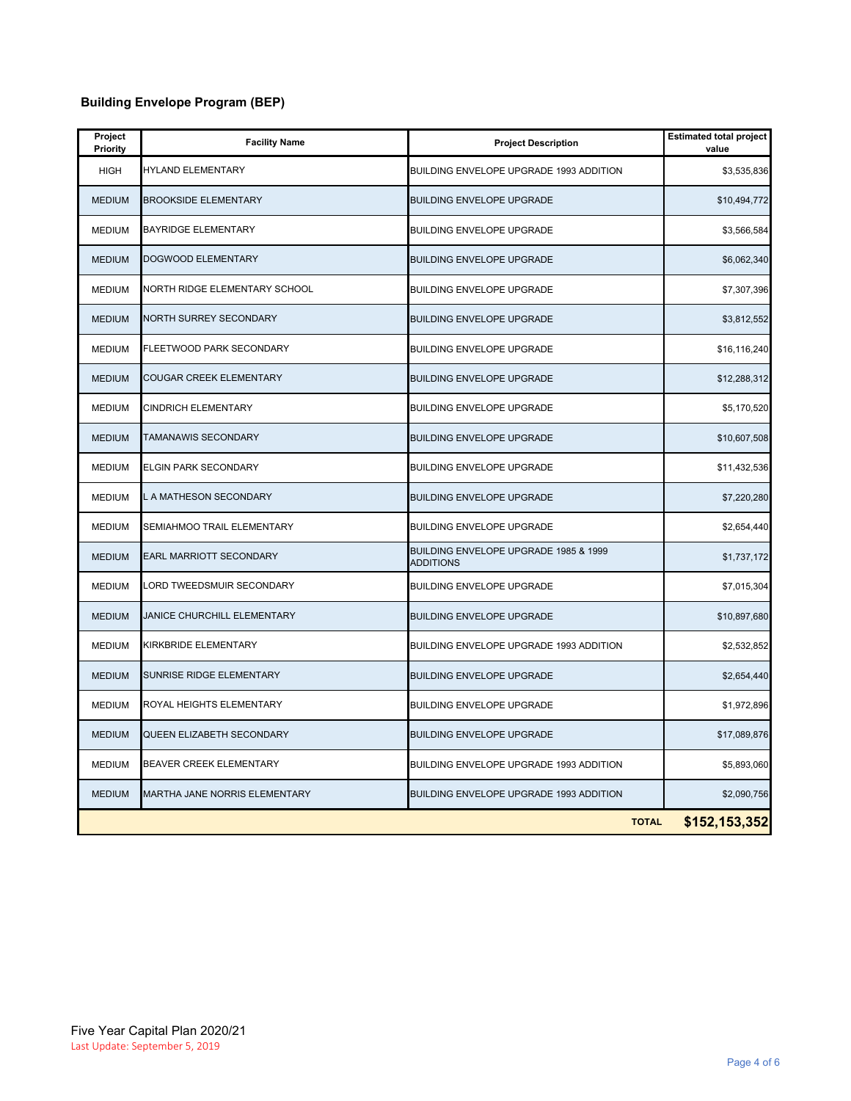# **Building Envelope Program (BEP)**

| Project<br>Priority | <b>Facility Name</b>           | <b>Project Description</b>                                | <b>Estimated total project</b><br>value |
|---------------------|--------------------------------|-----------------------------------------------------------|-----------------------------------------|
| <b>HIGH</b>         | <b>HYLAND ELEMENTARY</b>       | BUILDING ENVELOPE UPGRADE 1993 ADDITION                   | \$3,535,836                             |
| <b>MEDIUM</b>       | <b>BROOKSIDE ELEMENTARY</b>    | <b>BUILDING ENVELOPE UPGRADE</b>                          | \$10,494,772                            |
| <b>MEDIUM</b>       | <b>BAYRIDGE ELEMENTARY</b>     | BUILDING ENVELOPE UPGRADE                                 | \$3,566,584                             |
| <b>MEDIUM</b>       | <b>DOGWOOD ELEMENTARY</b>      | BUILDING ENVELOPE UPGRADE                                 | \$6,062,340                             |
| <b>MEDIUM</b>       | NORTH RIDGE ELEMENTARY SCHOOL  | BUILDING ENVELOPE UPGRADE                                 | \$7,307,396                             |
| <b>MEDIUM</b>       | NORTH SURREY SECONDARY         | <b>BUILDING ENVELOPE UPGRADE</b>                          | \$3,812,552                             |
| <b>MEDIUM</b>       | FLEETWOOD PARK SECONDARY       | BUILDING ENVELOPE UPGRADE                                 | \$16,116,240                            |
| <b>MEDIUM</b>       | <b>COUGAR CREEK ELEMENTARY</b> | <b>BUILDING ENVELOPE UPGRADE</b>                          | \$12,288,312                            |
| <b>MEDIUM</b>       | <b>CINDRICH ELEMENTARY</b>     | BUILDING ENVELOPE UPGRADE                                 | \$5,170,520                             |
| <b>MEDIUM</b>       | <b>TAMANAWIS SECONDARY</b>     | <b>BUILDING ENVELOPE UPGRADE</b>                          | \$10,607,508                            |
| <b>MEDIUM</b>       | <b>ELGIN PARK SECONDARY</b>    | BUILDING ENVELOPE UPGRADE                                 | \$11,432,536                            |
| <b>MEDIUM</b>       | L A MATHESON SECONDARY         | BUILDING ENVELOPE UPGRADE                                 | \$7,220,280                             |
| MEDIUM              | SEMIAHMOO TRAIL ELEMENTARY     | BUILDING ENVELOPE UPGRADE                                 | \$2,654,440                             |
| <b>MEDIUM</b>       | <b>EARL MARRIOTT SECONDARY</b> | BUILDING ENVELOPE UPGRADE 1985 & 1999<br><b>ADDITIONS</b> | \$1,737,172                             |
| <b>MEDIUM</b>       | LORD TWEEDSMUIR SECONDARY      | BUILDING ENVELOPE UPGRADE                                 | \$7,015,304                             |
| <b>MEDIUM</b>       | JANICE CHURCHILL ELEMENTARY    | <b>BUILDING ENVELOPE UPGRADE</b>                          | \$10,897,680                            |
| <b>MEDIUM</b>       | <b>KIRKBRIDE ELEMENTARY</b>    | BUILDING ENVELOPE UPGRADE 1993 ADDITION                   | \$2,532,852                             |
| <b>MEDIUM</b>       | SUNRISE RIDGE ELEMENTARY       | <b>BUILDING ENVELOPE UPGRADE</b>                          | \$2,654,440                             |
| <b>MEDIUM</b>       | ROYAL HEIGHTS ELEMENTARY       | BUILDING ENVELOPE UPGRADE                                 | \$1,972,896                             |
| <b>MEDIUM</b>       | QUEEN ELIZABETH SECONDARY      | <b>BUILDING ENVELOPE UPGRADE</b>                          | \$17,089,876                            |
| <b>MEDIUM</b>       | BEAVER CREEK ELEMENTARY        | BUILDING ENVELOPE UPGRADE 1993 ADDITION                   | \$5,893,060                             |
| <b>MEDIUM</b>       | MARTHA JANE NORRIS ELEMENTARY  | BUILDING ENVELOPE UPGRADE 1993 ADDITION                   | \$2,090,756                             |
|                     |                                | <b>TOTAL</b>                                              | \$152,153,352                           |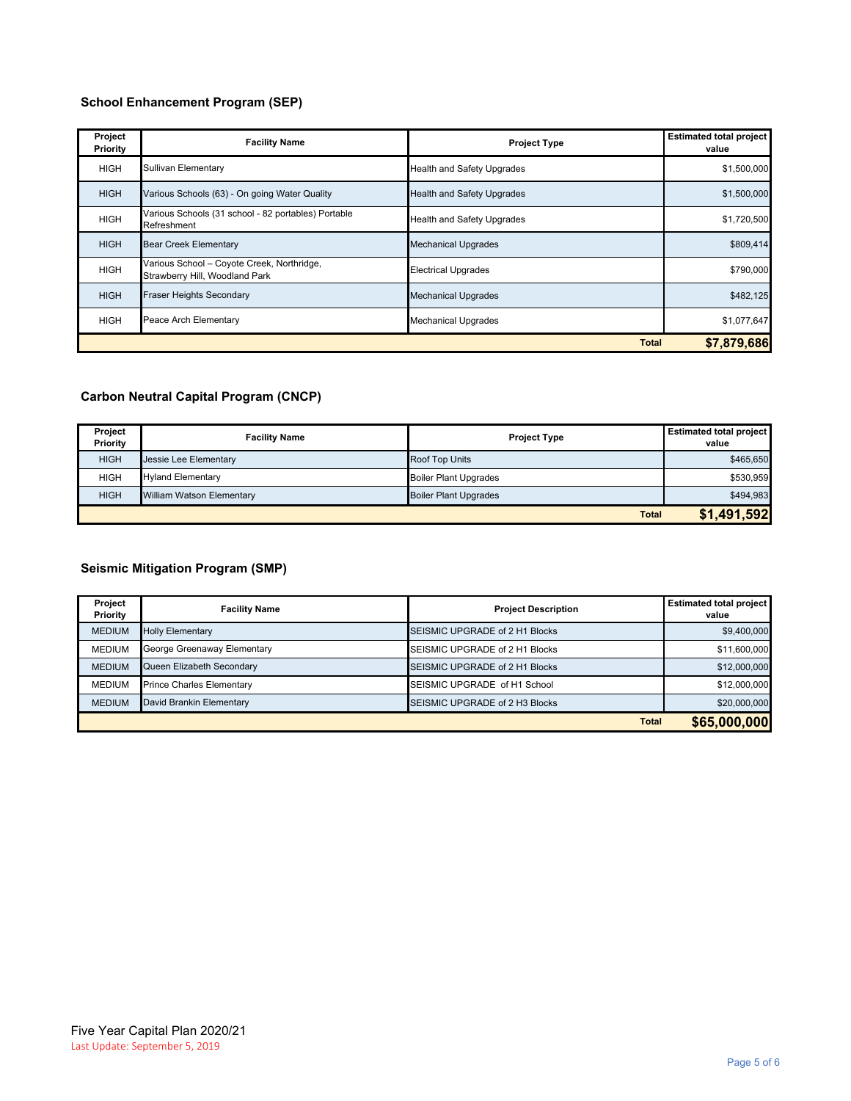# **School Enhancement Program (SEP)**

| Project<br>Priority | <b>Facility Name</b>                                                         | <b>Project Type</b>               | <b>Estimated total project</b><br>value |
|---------------------|------------------------------------------------------------------------------|-----------------------------------|-----------------------------------------|
| <b>HIGH</b>         | Sullivan Elementary                                                          | <b>Health and Safety Upgrades</b> | \$1,500,000                             |
| <b>HIGH</b>         | Various Schools (63) - On going Water Quality                                | <b>Health and Safety Upgrades</b> | \$1,500,000                             |
| <b>HIGH</b>         | Various Schools (31 school - 82 portables) Portable<br>Refreshment           | <b>Health and Safety Upgrades</b> | \$1,720,500                             |
| <b>HIGH</b>         | <b>Bear Creek Elementary</b>                                                 | <b>Mechanical Upgrades</b>        | \$809,414                               |
| <b>HIGH</b>         | Various School - Coyote Creek, Northridge,<br>Strawberry Hill, Woodland Park | <b>Electrical Upgrades</b>        | \$790,000                               |
| <b>HIGH</b>         | <b>Fraser Heights Secondary</b>                                              | <b>Mechanical Upgrades</b>        | \$482,125                               |
| <b>HIGH</b>         | Peace Arch Elementary                                                        | <b>Mechanical Upgrades</b>        | \$1,077,647                             |
| <b>Total</b>        |                                                                              |                                   | \$7.879.686                             |

### **Carbon Neutral Capital Program (CNCP)**

| Project<br>Priority | <b>Facility Name</b>             | <b>Project Type</b>          | <b>Estimated total project</b><br>value |
|---------------------|----------------------------------|------------------------------|-----------------------------------------|
| <b>HIGH</b>         | Jessie Lee Elementary            | <b>Roof Top Units</b>        | \$465,650                               |
| <b>HIGH</b>         | <b>Hyland Elementary</b>         | <b>Boiler Plant Upgrades</b> | \$530,959                               |
| <b>HIGH</b>         | <b>William Watson Elementary</b> | <b>Boiler Plant Upgrades</b> | \$494,983                               |
|                     |                                  | <b>Total</b>                 | \$1,491,592                             |

# **Seismic Mitigation Program (SMP)**

| Project<br>Priority | <b>Facility Name</b>             | <b>Project Description</b>     | <b>Estimated total project</b><br>value |
|---------------------|----------------------------------|--------------------------------|-----------------------------------------|
| <b>MEDIUM</b>       | <b>Holly Elementary</b>          | SEISMIC UPGRADE of 2 H1 Blocks | \$9,400,000                             |
| <b>MEDIUM</b>       | George Greenaway Elementary      | SEISMIC UPGRADE of 2 H1 Blocks | \$11,600,000                            |
| <b>MEDIUM</b>       | Queen Elizabeth Secondary        | SEISMIC UPGRADE of 2 H1 Blocks | \$12,000,000                            |
| <b>MEDIUM</b>       | <b>Prince Charles Elementary</b> | SEISMIC UPGRADE of H1 School   | \$12,000,000                            |
| <b>MEDIUM</b>       | David Brankin Elementary         | SEISMIC UPGRADE of 2 H3 Blocks | \$20,000,000                            |
|                     |                                  | <b>Total</b>                   | \$65,000,000                            |